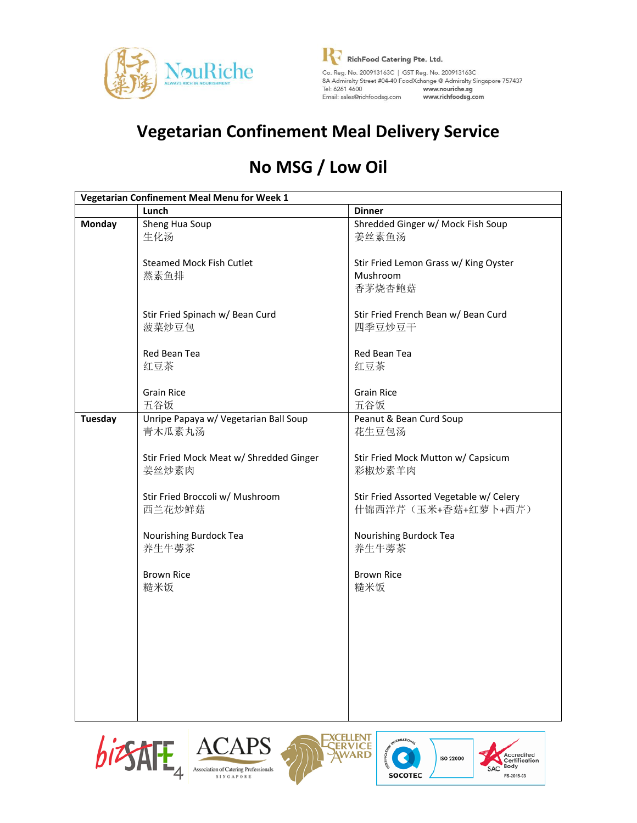

**R**<br>RichFood Catering Pte. Ltd. Email: sales@richfoodsg.com www.richfoodsg.com

## **Vegetarian Confinement Meal Delivery Service**

# **No MSG / Low Oil**

|                | Vegetarian Confinement Meal Menu for Week 1 |                                         |
|----------------|---------------------------------------------|-----------------------------------------|
|                | Lunch                                       | <b>Dinner</b>                           |
| <b>Monday</b>  | Sheng Hua Soup                              | Shredded Ginger w/ Mock Fish Soup       |
|                | 生化汤                                         | 姜丝素鱼汤                                   |
|                | <b>Steamed Mock Fish Cutlet</b>             | Stir Fried Lemon Grass w/ King Oyster   |
|                | 蒸素鱼排                                        | Mushroom                                |
|                |                                             | 香茅烧杏鲍菇                                  |
|                | Stir Fried Spinach w/ Bean Curd             | Stir Fried French Bean w/ Bean Curd     |
|                | 菠菜炒豆包                                       | 四季豆炒豆干                                  |
|                | Red Bean Tea                                | Red Bean Tea                            |
|                | 红豆茶                                         | 红豆茶                                     |
|                | <b>Grain Rice</b>                           | <b>Grain Rice</b>                       |
|                | 五谷饭                                         | 五谷饭                                     |
| <b>Tuesday</b> | Unripe Papaya w/ Vegetarian Ball Soup       | Peanut & Bean Curd Soup                 |
|                | 青木瓜素丸汤                                      | 花生豆包汤                                   |
|                | Stir Fried Mock Meat w/ Shredded Ginger     | Stir Fried Mock Mutton w/ Capsicum      |
|                | 姜丝炒素肉                                       | 彩椒炒素羊肉                                  |
|                | Stir Fried Broccoli w/ Mushroom             | Stir Fried Assorted Vegetable w/ Celery |
|                | 西兰花炒鲜菇                                      | 什锦西洋芹(玉米+香菇+红萝卜+西芹)                     |
|                | Nourishing Burdock Tea                      | Nourishing Burdock Tea                  |
|                | 养生牛蒡茶                                       | 养生牛蒡茶                                   |
|                | <b>Brown Rice</b>                           | <b>Brown Rice</b>                       |
|                | 糙米饭                                         | 糙米饭                                     |
|                |                                             |                                         |
|                |                                             |                                         |
|                |                                             |                                         |
|                |                                             |                                         |
|                |                                             |                                         |
|                |                                             |                                         |









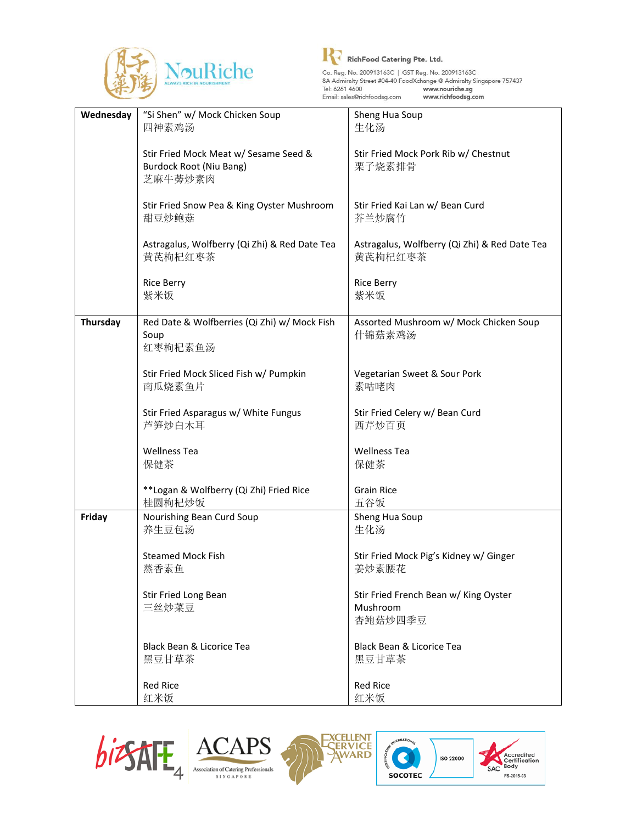



| 四神素鸡汤<br>生化汤<br>Stir Fried Mock Meat w/ Sesame Seed &<br>Stir Fried Mock Pork Rib w/ Chestnut<br><b>Burdock Root (Niu Bang)</b><br>栗子烧素排骨<br>芝麻牛蒡炒素肉<br>Stir Fried Kai Lan w/ Bean Curd<br>Stir Fried Snow Pea & King Oyster Mushroom<br>甜豆炒鲍菇<br>芥兰炒腐竹<br>Astragalus, Wolfberry (Qi Zhi) & Red Date Tea<br>Astragalus, Wolfberry (Qi Zhi) & Red Date Tea<br>黄芪枸杞红枣茶<br>黄芪枸杞红枣茶<br><b>Rice Berry</b><br><b>Rice Berry</b><br>紫米饭<br>紫米饭<br>Thursday<br>Red Date & Wolfberries (Qi Zhi) w/ Mock Fish<br>Assorted Mushroom w/ Mock Chicken Soup<br>Soup<br>什锦菇素鸡汤<br>红枣枸杞素鱼汤<br>Stir Fried Mock Sliced Fish w/ Pumpkin<br>Vegetarian Sweet & Sour Pork<br>南瓜烧素鱼片<br>素咕咾肉<br>Stir Fried Asparagus w/ White Fungus<br>Stir Fried Celery w/ Bean Curd<br>芦笋炒白木耳<br>西芹炒百页<br><b>Wellness Tea</b><br><b>Wellness Tea</b><br>保健茶<br>保健茶<br>**Logan & Wolfberry (Qi Zhi) Fried Rice<br><b>Grain Rice</b><br>桂圆枸杞炒饭<br>五谷饭<br>Friday<br>Nourishing Bean Curd Soup<br>Sheng Hua Soup<br>养生豆包汤<br>生化汤<br><b>Steamed Mock Fish</b><br>Stir Fried Mock Pig's Kidney w/ Ginger<br>蒸香素鱼<br>姜炒素腰花<br>Stir Fried Long Bean<br>Stir Fried French Bean w/ King Oyster<br>三丝炒菜豆<br>Mushroom | Wednesday | "Si Shen" w/ Mock Chicken Soup | Sheng Hua Soup |
|------------------------------------------------------------------------------------------------------------------------------------------------------------------------------------------------------------------------------------------------------------------------------------------------------------------------------------------------------------------------------------------------------------------------------------------------------------------------------------------------------------------------------------------------------------------------------------------------------------------------------------------------------------------------------------------------------------------------------------------------------------------------------------------------------------------------------------------------------------------------------------------------------------------------------------------------------------------------------------------------------------------------------------------------------------------------------------------------------------------------------------------------------------------------|-----------|--------------------------------|----------------|
|                                                                                                                                                                                                                                                                                                                                                                                                                                                                                                                                                                                                                                                                                                                                                                                                                                                                                                                                                                                                                                                                                                                                                                        |           |                                |                |
|                                                                                                                                                                                                                                                                                                                                                                                                                                                                                                                                                                                                                                                                                                                                                                                                                                                                                                                                                                                                                                                                                                                                                                        |           |                                |                |
|                                                                                                                                                                                                                                                                                                                                                                                                                                                                                                                                                                                                                                                                                                                                                                                                                                                                                                                                                                                                                                                                                                                                                                        |           |                                |                |
|                                                                                                                                                                                                                                                                                                                                                                                                                                                                                                                                                                                                                                                                                                                                                                                                                                                                                                                                                                                                                                                                                                                                                                        |           |                                |                |
|                                                                                                                                                                                                                                                                                                                                                                                                                                                                                                                                                                                                                                                                                                                                                                                                                                                                                                                                                                                                                                                                                                                                                                        |           |                                |                |
|                                                                                                                                                                                                                                                                                                                                                                                                                                                                                                                                                                                                                                                                                                                                                                                                                                                                                                                                                                                                                                                                                                                                                                        |           |                                |                |
|                                                                                                                                                                                                                                                                                                                                                                                                                                                                                                                                                                                                                                                                                                                                                                                                                                                                                                                                                                                                                                                                                                                                                                        |           |                                |                |
|                                                                                                                                                                                                                                                                                                                                                                                                                                                                                                                                                                                                                                                                                                                                                                                                                                                                                                                                                                                                                                                                                                                                                                        |           |                                |                |
|                                                                                                                                                                                                                                                                                                                                                                                                                                                                                                                                                                                                                                                                                                                                                                                                                                                                                                                                                                                                                                                                                                                                                                        |           |                                |                |
|                                                                                                                                                                                                                                                                                                                                                                                                                                                                                                                                                                                                                                                                                                                                                                                                                                                                                                                                                                                                                                                                                                                                                                        |           |                                |                |
|                                                                                                                                                                                                                                                                                                                                                                                                                                                                                                                                                                                                                                                                                                                                                                                                                                                                                                                                                                                                                                                                                                                                                                        |           |                                |                |
|                                                                                                                                                                                                                                                                                                                                                                                                                                                                                                                                                                                                                                                                                                                                                                                                                                                                                                                                                                                                                                                                                                                                                                        |           |                                |                |
|                                                                                                                                                                                                                                                                                                                                                                                                                                                                                                                                                                                                                                                                                                                                                                                                                                                                                                                                                                                                                                                                                                                                                                        |           |                                |                |
|                                                                                                                                                                                                                                                                                                                                                                                                                                                                                                                                                                                                                                                                                                                                                                                                                                                                                                                                                                                                                                                                                                                                                                        |           |                                |                |
|                                                                                                                                                                                                                                                                                                                                                                                                                                                                                                                                                                                                                                                                                                                                                                                                                                                                                                                                                                                                                                                                                                                                                                        |           |                                |                |
|                                                                                                                                                                                                                                                                                                                                                                                                                                                                                                                                                                                                                                                                                                                                                                                                                                                                                                                                                                                                                                                                                                                                                                        |           |                                |                |
|                                                                                                                                                                                                                                                                                                                                                                                                                                                                                                                                                                                                                                                                                                                                                                                                                                                                                                                                                                                                                                                                                                                                                                        |           |                                |                |
|                                                                                                                                                                                                                                                                                                                                                                                                                                                                                                                                                                                                                                                                                                                                                                                                                                                                                                                                                                                                                                                                                                                                                                        |           |                                |                |
|                                                                                                                                                                                                                                                                                                                                                                                                                                                                                                                                                                                                                                                                                                                                                                                                                                                                                                                                                                                                                                                                                                                                                                        |           |                                |                |
|                                                                                                                                                                                                                                                                                                                                                                                                                                                                                                                                                                                                                                                                                                                                                                                                                                                                                                                                                                                                                                                                                                                                                                        |           |                                |                |
|                                                                                                                                                                                                                                                                                                                                                                                                                                                                                                                                                                                                                                                                                                                                                                                                                                                                                                                                                                                                                                                                                                                                                                        |           |                                |                |
|                                                                                                                                                                                                                                                                                                                                                                                                                                                                                                                                                                                                                                                                                                                                                                                                                                                                                                                                                                                                                                                                                                                                                                        |           |                                |                |
|                                                                                                                                                                                                                                                                                                                                                                                                                                                                                                                                                                                                                                                                                                                                                                                                                                                                                                                                                                                                                                                                                                                                                                        |           |                                |                |
|                                                                                                                                                                                                                                                                                                                                                                                                                                                                                                                                                                                                                                                                                                                                                                                                                                                                                                                                                                                                                                                                                                                                                                        |           |                                |                |
|                                                                                                                                                                                                                                                                                                                                                                                                                                                                                                                                                                                                                                                                                                                                                                                                                                                                                                                                                                                                                                                                                                                                                                        |           |                                |                |
|                                                                                                                                                                                                                                                                                                                                                                                                                                                                                                                                                                                                                                                                                                                                                                                                                                                                                                                                                                                                                                                                                                                                                                        |           |                                |                |
|                                                                                                                                                                                                                                                                                                                                                                                                                                                                                                                                                                                                                                                                                                                                                                                                                                                                                                                                                                                                                                                                                                                                                                        |           |                                |                |
|                                                                                                                                                                                                                                                                                                                                                                                                                                                                                                                                                                                                                                                                                                                                                                                                                                                                                                                                                                                                                                                                                                                                                                        |           |                                |                |
|                                                                                                                                                                                                                                                                                                                                                                                                                                                                                                                                                                                                                                                                                                                                                                                                                                                                                                                                                                                                                                                                                                                                                                        |           |                                |                |
|                                                                                                                                                                                                                                                                                                                                                                                                                                                                                                                                                                                                                                                                                                                                                                                                                                                                                                                                                                                                                                                                                                                                                                        |           |                                |                |
|                                                                                                                                                                                                                                                                                                                                                                                                                                                                                                                                                                                                                                                                                                                                                                                                                                                                                                                                                                                                                                                                                                                                                                        |           |                                |                |
|                                                                                                                                                                                                                                                                                                                                                                                                                                                                                                                                                                                                                                                                                                                                                                                                                                                                                                                                                                                                                                                                                                                                                                        |           |                                |                |
|                                                                                                                                                                                                                                                                                                                                                                                                                                                                                                                                                                                                                                                                                                                                                                                                                                                                                                                                                                                                                                                                                                                                                                        |           |                                |                |
|                                                                                                                                                                                                                                                                                                                                                                                                                                                                                                                                                                                                                                                                                                                                                                                                                                                                                                                                                                                                                                                                                                                                                                        |           |                                |                |
|                                                                                                                                                                                                                                                                                                                                                                                                                                                                                                                                                                                                                                                                                                                                                                                                                                                                                                                                                                                                                                                                                                                                                                        |           |                                |                |
|                                                                                                                                                                                                                                                                                                                                                                                                                                                                                                                                                                                                                                                                                                                                                                                                                                                                                                                                                                                                                                                                                                                                                                        |           |                                |                |
|                                                                                                                                                                                                                                                                                                                                                                                                                                                                                                                                                                                                                                                                                                                                                                                                                                                                                                                                                                                                                                                                                                                                                                        |           |                                |                |
|                                                                                                                                                                                                                                                                                                                                                                                                                                                                                                                                                                                                                                                                                                                                                                                                                                                                                                                                                                                                                                                                                                                                                                        |           |                                | 杏鲍菇炒四季豆        |
|                                                                                                                                                                                                                                                                                                                                                                                                                                                                                                                                                                                                                                                                                                                                                                                                                                                                                                                                                                                                                                                                                                                                                                        |           |                                |                |
| Black Bean & Licorice Tea<br>Black Bean & Licorice Tea                                                                                                                                                                                                                                                                                                                                                                                                                                                                                                                                                                                                                                                                                                                                                                                                                                                                                                                                                                                                                                                                                                                 |           |                                |                |
| 黑豆甘草茶<br>黑豆甘草茶                                                                                                                                                                                                                                                                                                                                                                                                                                                                                                                                                                                                                                                                                                                                                                                                                                                                                                                                                                                                                                                                                                                                                         |           |                                |                |
|                                                                                                                                                                                                                                                                                                                                                                                                                                                                                                                                                                                                                                                                                                                                                                                                                                                                                                                                                                                                                                                                                                                                                                        |           |                                |                |
| <b>Red Rice</b><br><b>Red Rice</b>                                                                                                                                                                                                                                                                                                                                                                                                                                                                                                                                                                                                                                                                                                                                                                                                                                                                                                                                                                                                                                                                                                                                     |           |                                |                |
| 红米饭<br>红米饭                                                                                                                                                                                                                                                                                                                                                                                                                                                                                                                                                                                                                                                                                                                                                                                                                                                                                                                                                                                                                                                                                                                                                             |           |                                |                |









CERTIFICA

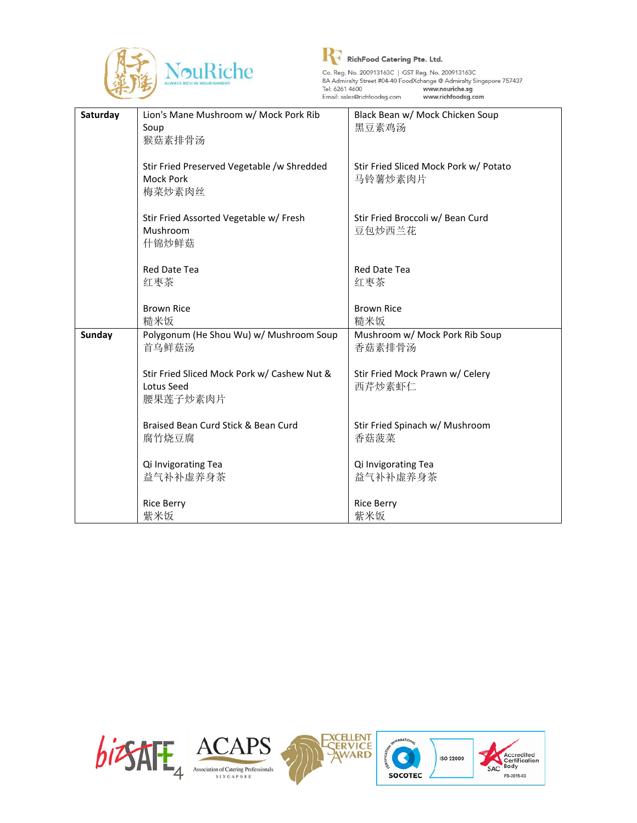



| Saturday      | Lion's Mane Mushroom w/ Mock Pork Rib              | Black Bean w/ Mock Chicken Soup       |
|---------------|----------------------------------------------------|---------------------------------------|
|               | Soup                                               | 黑豆素鸡汤                                 |
|               | 猴菇素排骨汤                                             |                                       |
|               |                                                    |                                       |
|               | Stir Fried Preserved Vegetable /w Shredded         | Stir Fried Sliced Mock Pork w/ Potato |
|               | <b>Mock Pork</b>                                   | 马铃薯炒素肉片                               |
|               | 梅菜炒素肉丝                                             |                                       |
|               |                                                    |                                       |
|               | Stir Fried Assorted Vegetable w/ Fresh<br>Mushroom | Stir Fried Broccoli w/ Bean Curd      |
|               | 什锦炒鲜菇                                              | 豆包炒西兰花                                |
|               |                                                    |                                       |
|               | <b>Red Date Tea</b>                                | <b>Red Date Tea</b>                   |
|               | 红枣茶                                                | 红枣茶                                   |
|               |                                                    |                                       |
|               | <b>Brown Rice</b>                                  | <b>Brown Rice</b>                     |
|               | 糙米饭                                                | 糙米饭                                   |
| <b>Sunday</b> | Polygonum (He Shou Wu) w/ Mushroom Soup            | Mushroom w/ Mock Pork Rib Soup        |
|               | 首乌鲜菇汤                                              | 香菇素排骨汤                                |
|               |                                                    |                                       |
|               | Stir Fried Sliced Mock Pork w/ Cashew Nut &        | Stir Fried Mock Prawn w/ Celery       |
|               | Lotus Seed                                         | 西芹炒素虾仁                                |
|               | 腰果莲子炒素肉片                                           |                                       |
|               |                                                    |                                       |
|               | Braised Bean Curd Stick & Bean Curd                | Stir Fried Spinach w/ Mushroom        |
|               | 腐竹烧豆腐                                              | 香菇菠菜                                  |
|               |                                                    |                                       |
|               | Qi Invigorating Tea                                | Qi Invigorating Tea                   |
|               | 益气补补虚养身茶                                           | 益气补补虚养身茶                              |
|               |                                                    |                                       |
|               | <b>Rice Berry</b>                                  | <b>Rice Berry</b>                     |
|               | 紫米饭                                                | 紫米饭                                   |

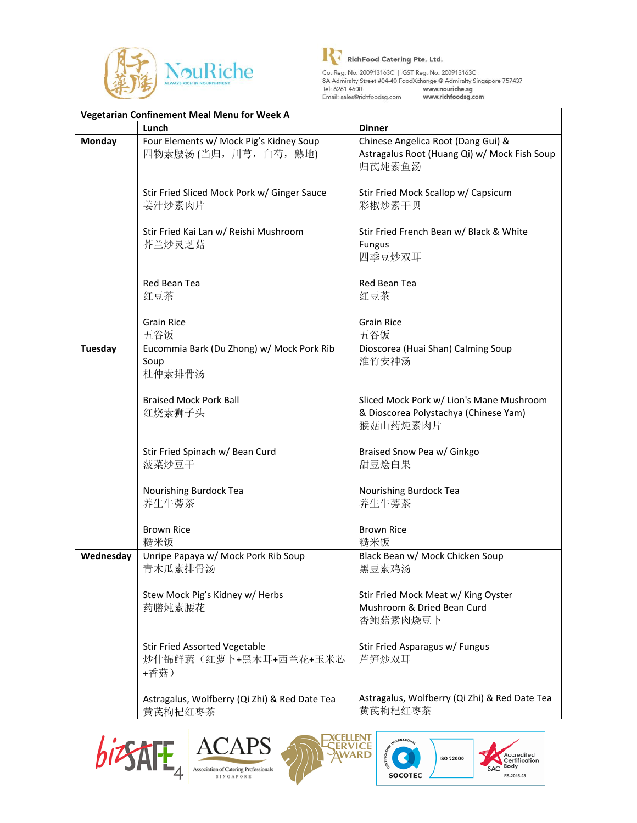



| Vegetarian Confinement Meal Menu for Week A |                                                                       |                                                                                               |
|---------------------------------------------|-----------------------------------------------------------------------|-----------------------------------------------------------------------------------------------|
|                                             | Lunch                                                                 | <b>Dinner</b>                                                                                 |
| <b>Monday</b>                               | Four Elements w/ Mock Pig's Kidney Soup<br>四物素腰汤(当归, 川芎, 白芍, 熟地)      | Chinese Angelica Root (Dang Gui) &<br>Astragalus Root (Huang Qi) w/ Mock Fish Soup<br>归芪炖素鱼汤  |
|                                             | Stir Fried Sliced Mock Pork w/ Ginger Sauce<br>姜汁炒素肉片                 | Stir Fried Mock Scallop w/ Capsicum<br>彩椒炒素干贝                                                 |
|                                             | Stir Fried Kai Lan w/ Reishi Mushroom<br>芥兰炒灵芝菇                       | Stir Fried French Bean w/ Black & White<br><b>Fungus</b><br>四季豆炒双耳                            |
|                                             | Red Bean Tea<br>红豆茶                                                   | Red Bean Tea<br>红豆茶                                                                           |
|                                             | <b>Grain Rice</b><br>五谷饭                                              | <b>Grain Rice</b><br>五谷饭                                                                      |
| <b>Tuesday</b>                              | Eucommia Bark (Du Zhong) w/ Mock Pork Rib<br>Soup<br>杜仲素排骨汤           | Dioscorea (Huai Shan) Calming Soup<br>淮竹安神汤                                                   |
|                                             | <b>Braised Mock Pork Ball</b><br>红烧素狮子头                               | Sliced Mock Pork w/ Lion's Mane Mushroom<br>& Dioscorea Polystachya (Chinese Yam)<br>猴菇山药炖素肉片 |
|                                             | Stir Fried Spinach w/ Bean Curd<br>菠菜炒豆干                              | Braised Snow Pea w/ Ginkgo<br>甜豆烩白果                                                           |
|                                             | Nourishing Burdock Tea<br>养生牛蒡茶                                       | Nourishing Burdock Tea<br>养生牛蒡茶                                                               |
|                                             | <b>Brown Rice</b><br>糙米饭                                              | <b>Brown Rice</b><br>糙米饭                                                                      |
| Wednesday                                   | Unripe Papaya w/ Mock Pork Rib Soup<br>青木瓜素排骨汤                        | Black Bean w/ Mock Chicken Soup<br>黑豆素鸡汤                                                      |
|                                             | Stew Mock Pig's Kidney w/ Herbs<br>药膳炖素腰花                             | Stir Fried Mock Meat w/ King Oyster<br>Mushroom & Dried Bean Curd<br>杏鲍菇素肉烧豆卜                 |
|                                             | <b>Stir Fried Assorted Vegetable</b><br>炒什锦鲜蔬(红萝卜+黑木耳+西兰花+玉米芯<br>+香菇) | Stir Fried Asparagus w/ Fungus<br>芦笋炒双耳                                                       |
|                                             | Astragalus, Wolfberry (Qi Zhi) & Red Date Tea<br>黄芪枸杞红枣茶              | Astragalus, Wolfberry (Qi Zhi) & Red Date Tea<br>黄芪枸杞红枣茶                                      |







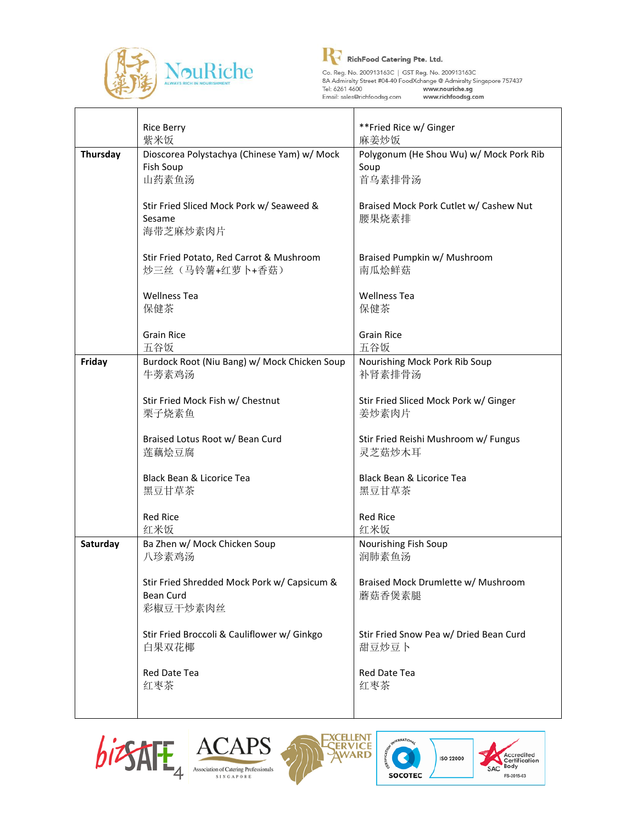



Co. Reg. No. 200913163C | GST Reg. No. 200913163C<br>
8A Admiralty Street #04-40 FoodXchange @ Admiralty Singapore 757437<br>
Tel: 6261 4600 www.nouriche.sg<br>
Email: sales@richfoodsg.com www.richfoodsg.com

|                 | <b>Rice Berry</b>                            | **Fried Rice w/ Ginger                  |
|-----------------|----------------------------------------------|-----------------------------------------|
|                 | 紫米饭                                          | 麻姜炒饭                                    |
| <b>Thursday</b> | Dioscorea Polystachya (Chinese Yam) w/ Mock  | Polygonum (He Shou Wu) w/ Mock Pork Rib |
|                 | Fish Soup                                    | Soup                                    |
|                 | 山药素鱼汤                                        | 首乌素排骨汤                                  |
|                 |                                              |                                         |
|                 | Stir Fried Sliced Mock Pork w/ Seaweed &     | Braised Mock Pork Cutlet w/ Cashew Nut  |
|                 | Sesame                                       | 腰果烧素排                                   |
|                 | 海带芝麻炒素肉片                                     |                                         |
|                 |                                              |                                         |
|                 | Stir Fried Potato, Red Carrot & Mushroom     | Braised Pumpkin w/ Mushroom             |
|                 | 炒三丝(马铃薯+红萝卜+香菇)                              | 南瓜烩鲜菇                                   |
|                 | <b>Wellness Tea</b>                          | <b>Wellness Tea</b>                     |
|                 | 保健茶                                          | 保健茶                                     |
|                 |                                              |                                         |
|                 | <b>Grain Rice</b>                            | <b>Grain Rice</b>                       |
|                 | 五谷饭                                          | 五谷饭                                     |
| Friday          | Burdock Root (Niu Bang) w/ Mock Chicken Soup | Nourishing Mock Pork Rib Soup           |
|                 | 牛蒡素鸡汤                                        | 补肾素排骨汤                                  |
|                 |                                              |                                         |
|                 | Stir Fried Mock Fish w/ Chestnut             | Stir Fried Sliced Mock Pork w/ Ginger   |
|                 | 栗子烧素鱼                                        | 姜炒素肉片                                   |
|                 |                                              |                                         |
|                 | Braised Lotus Root w/ Bean Curd              | Stir Fried Reishi Mushroom w/ Fungus    |
|                 | 莲藕烩豆腐                                        | 灵芝菇炒木耳                                  |
|                 |                                              |                                         |
|                 | <b>Black Bean &amp; Licorice Tea</b>         | Black Bean & Licorice Tea               |
|                 | 黑豆甘草茶                                        | 黑豆甘草茶                                   |
|                 |                                              |                                         |
|                 | <b>Red Rice</b>                              | <b>Red Rice</b>                         |
|                 | 红米饭                                          | 红米饭                                     |
| Saturday        | Ba Zhen w/ Mock Chicken Soup                 | Nourishing Fish Soup                    |
|                 | 八珍素鸡汤                                        | 润肺素鱼汤                                   |
|                 | Stir Fried Shredded Mock Pork w/ Capsicum &  | Braised Mock Drumlette w/ Mushroom      |
|                 | <b>Bean Curd</b>                             | 蘑菇香煲素腿                                  |
|                 | 彩椒豆干炒素肉丝                                     |                                         |
|                 |                                              |                                         |
|                 | Stir Fried Broccoli & Cauliflower w/ Ginkgo  | Stir Fried Snow Pea w/ Dried Bean Curd  |
|                 | 白果双花椰                                        | 甜豆炒豆卜                                   |
|                 |                                              |                                         |
|                 | Red Date Tea                                 | Red Date Tea                            |
|                 | 红枣茶                                          | 红枣茶                                     |
|                 |                                              |                                         |
|                 |                                              |                                         |









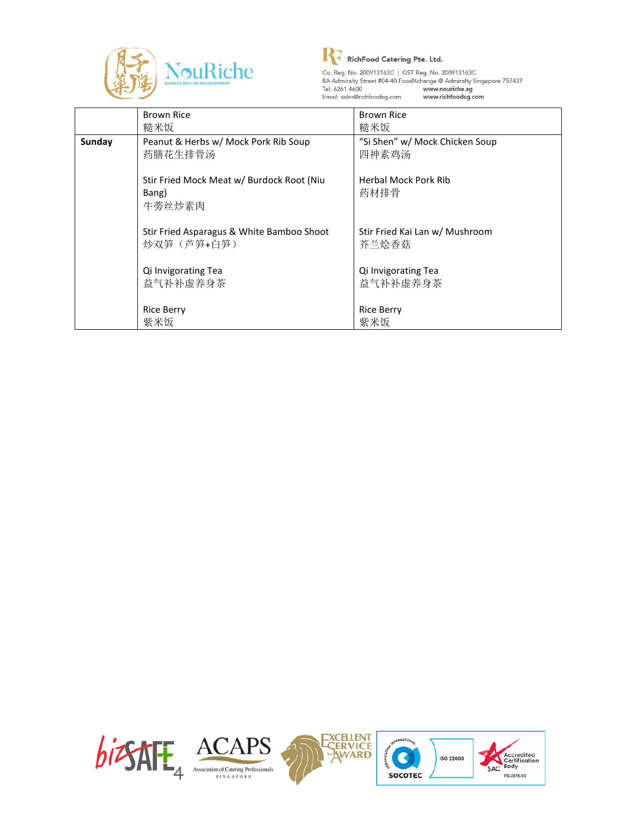



## **R**<br>RichFood Catering Pte. Ltd.

|        | <b>Brown Rice</b>                         | <b>Brown Rice</b>              |
|--------|-------------------------------------------|--------------------------------|
|        | 糙米饭                                       | 糙米饭                            |
| Sunday | Peanut & Herbs w/ Mock Pork Rib Soup      | "Si Shen" w/ Mock Chicken Soup |
|        | 药膳花生排骨汤                                   | 四神素鸡汤                          |
|        |                                           |                                |
|        | Stir Fried Mock Meat w/ Burdock Root (Niu | <b>Herbal Mock Pork Rib</b>    |
|        | Bang)                                     | 药材排骨                           |
|        | 牛蒡丝炒素肉                                    |                                |
|        |                                           |                                |
|        | Stir Fried Asparagus & White Bamboo Shoot | Stir Fried Kai Lan w/ Mushroom |
|        | 炒双笋(芦笋+白笋)                                | 芥兰烩香菇                          |
|        |                                           |                                |
|        | Qi Invigorating Tea                       | Qi Invigorating Tea            |
|        | 益气补补虚养身茶                                  | 益气补补虚养身茶                       |
|        |                                           |                                |
|        | <b>Rice Berry</b>                         | <b>Rice Berry</b>              |
|        | 紫米饭                                       | 紫米饭                            |

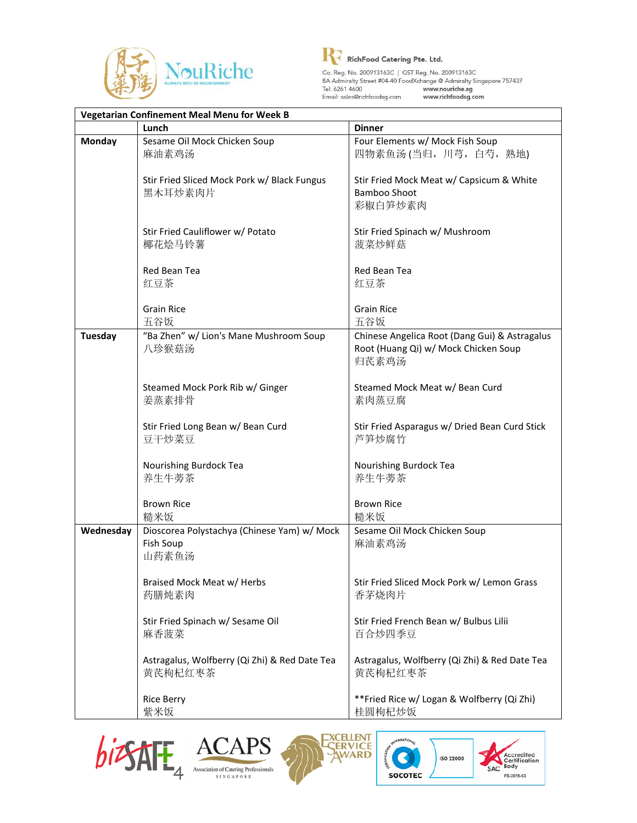



| <b>Vegetarian Confinement Meal Menu for Week B</b> |                                                                   |                                                                                                |
|----------------------------------------------------|-------------------------------------------------------------------|------------------------------------------------------------------------------------------------|
|                                                    | Lunch                                                             | <b>Dinner</b>                                                                                  |
| <b>Monday</b>                                      | Sesame Oil Mock Chicken Soup<br>麻油素鸡汤                             | Four Elements w/ Mock Fish Soup<br>四物素鱼汤(当归, 川芎, 白芍, 熟地)                                       |
|                                                    | Stir Fried Sliced Mock Pork w/ Black Fungus<br>黑木耳炒素肉片            | Stir Fried Mock Meat w/ Capsicum & White<br>Bamboo Shoot<br>彩椒白笋炒素肉                            |
|                                                    | Stir Fried Cauliflower w/ Potato<br>椰花烩马铃薯                        | Stir Fried Spinach w/ Mushroom<br>菠菜炒鲜菇                                                        |
|                                                    | Red Bean Tea<br>红豆茶                                               | Red Bean Tea<br>红豆茶                                                                            |
|                                                    | <b>Grain Rice</b><br>五谷饭                                          | <b>Grain Rice</b><br>五谷饭                                                                       |
| <b>Tuesday</b>                                     | "Ba Zhen" w/ Lion's Mane Mushroom Soup<br>八珍猴菇汤                   | Chinese Angelica Root (Dang Gui) & Astragalus<br>Root (Huang Qi) w/ Mock Chicken Soup<br>归芪素鸡汤 |
|                                                    | Steamed Mock Pork Rib w/ Ginger<br>姜蒸素排骨                          | Steamed Mock Meat w/ Bean Curd<br>素肉蒸豆腐                                                        |
|                                                    | Stir Fried Long Bean w/ Bean Curd<br>豆干炒菜豆                        | Stir Fried Asparagus w/ Dried Bean Curd Stick<br>芦笋炒腐竹                                         |
|                                                    | Nourishing Burdock Tea<br>养生牛蒡茶                                   | Nourishing Burdock Tea<br>养生牛蒡茶                                                                |
|                                                    | <b>Brown Rice</b><br>糙米饭                                          | <b>Brown Rice</b><br>糙米饭                                                                       |
| Wednesday                                          | Dioscorea Polystachya (Chinese Yam) w/ Mock<br>Fish Soup<br>山药素鱼汤 | Sesame Oil Mock Chicken Soup<br>麻油素鸡汤                                                          |
|                                                    | Braised Mock Meat w/ Herbs<br>药膳炖素肉                               | Stir Fried Sliced Mock Pork w/ Lemon Grass<br>香茅烧肉片                                            |
|                                                    | Stir Fried Spinach w/ Sesame Oil<br>麻香菠菜                          | Stir Fried French Bean w/ Bulbus Lilii<br>百合炒四季豆                                               |
|                                                    | Astragalus, Wolfberry (Qi Zhi) & Red Date Tea<br>黄芪枸杞红枣茶          | Astragalus, Wolfberry (Qi Zhi) & Red Date Tea<br>黄芪枸杞红枣茶                                       |
|                                                    | <b>Rice Berry</b><br>紫米饭                                          | **Fried Rice w/ Logan & Wolfberry (Qi Zhi)<br>桂圆枸杞炒饭                                           |







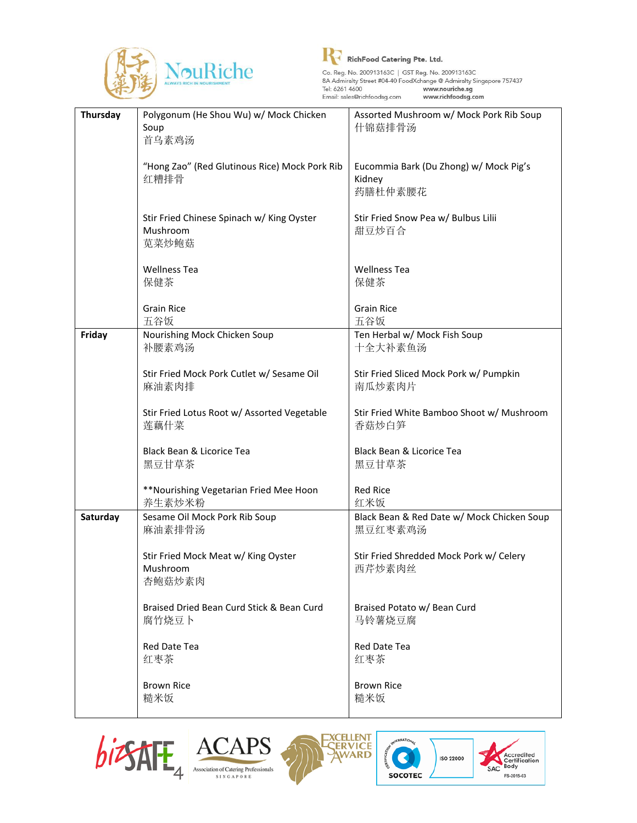



| Thursday | Polygonum (He Shou Wu) w/ Mock Chicken        | Assorted Mushroom w/ Mock Pork Rib Soup    |
|----------|-----------------------------------------------|--------------------------------------------|
|          | Soup                                          | 什锦菇排骨汤                                     |
|          | 首乌素鸡汤                                         |                                            |
|          |                                               |                                            |
|          | "Hong Zao" (Red Glutinous Rice) Mock Pork Rib | Eucommia Bark (Du Zhong) w/ Mock Pig's     |
|          | 红糟排骨                                          | Kidney<br>药膳杜仲素腰花                          |
|          |                                               |                                            |
|          | Stir Fried Chinese Spinach w/ King Oyster     | Stir Fried Snow Pea w/ Bulbus Lilii        |
|          | Mushroom                                      | 甜豆炒百合                                      |
|          | 苋菜炒鲍菇                                         |                                            |
|          |                                               |                                            |
|          | <b>Wellness Tea</b>                           | <b>Wellness Tea</b>                        |
|          | 保健茶                                           | 保健茶                                        |
|          |                                               |                                            |
|          | <b>Grain Rice</b>                             | <b>Grain Rice</b>                          |
|          | 五谷饭                                           | 五谷饭                                        |
| Friday   | Nourishing Mock Chicken Soup                  | Ten Herbal w/ Mock Fish Soup               |
|          | 补腰素鸡汤                                         | 十全大补素鱼汤                                    |
|          |                                               |                                            |
|          | Stir Fried Mock Pork Cutlet w/ Sesame Oil     | Stir Fried Sliced Mock Pork w/ Pumpkin     |
|          | 麻油素肉排                                         | 南瓜炒素肉片                                     |
|          | Stir Fried Lotus Root w/ Assorted Vegetable   | Stir Fried White Bamboo Shoot w/ Mushroom  |
|          | 莲藕什菜                                          | 香菇炒白笋                                      |
|          |                                               |                                            |
|          | Black Bean & Licorice Tea                     | Black Bean & Licorice Tea                  |
|          | 黑豆甘草茶                                         | 黑豆甘草茶                                      |
|          |                                               |                                            |
|          | **Nourishing Vegetarian Fried Mee Hoon        | <b>Red Rice</b>                            |
|          | 养生素炒米粉                                        | 红米饭                                        |
| Saturday | Sesame Oil Mock Pork Rib Soup                 | Black Bean & Red Date w/ Mock Chicken Soup |
|          | 麻油素排骨汤                                        | 黑豆红枣素鸡汤                                    |
|          |                                               |                                            |
|          | Stir Fried Mock Meat w/ King Oyster           | Stir Fried Shredded Mock Pork w/ Celery    |
|          | Mushroom<br>杏鲍菇炒素肉                            | 西芹炒素肉丝                                     |
|          |                                               |                                            |
|          | Braised Dried Bean Curd Stick & Bean Curd     | Braised Potato w/ Bean Curd                |
|          | 腐竹烧豆卜                                         | 马铃薯烧豆腐                                     |
|          |                                               |                                            |
|          | Red Date Tea                                  | Red Date Tea                               |
|          | 红枣茶                                           | 红枣茶                                        |
|          |                                               |                                            |
|          | <b>Brown Rice</b>                             | <b>Brown Rice</b>                          |
|          | 糙米饭                                           | 糙米饭                                        |
|          |                                               |                                            |









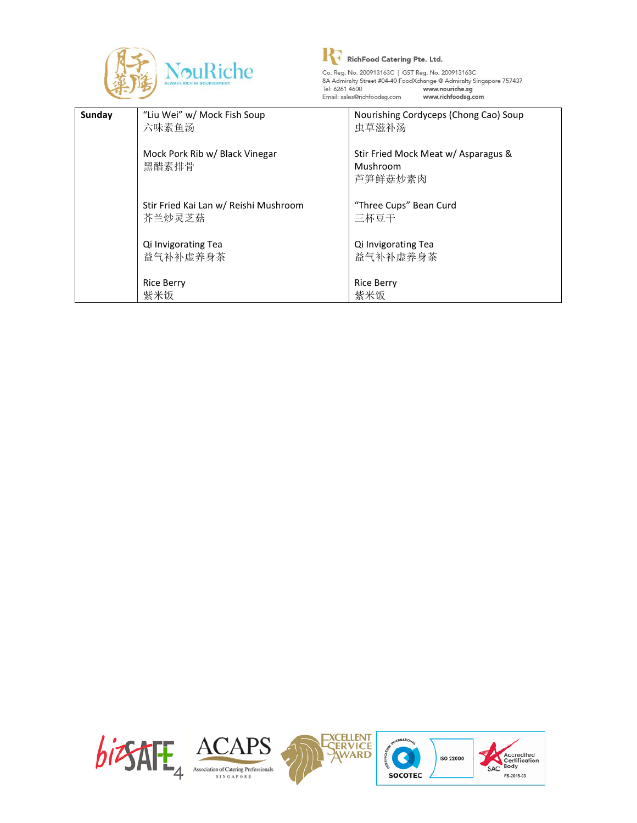



| Sunday | "Liu Wei" w/ Mock Fish Soup<br>六味素鱼汤            | Nourishing Cordyceps (Chong Cao) Soup<br>虫草滋补汤             |
|--------|-------------------------------------------------|------------------------------------------------------------|
|        | Mock Pork Rib w/ Black Vinegar<br>黑醋素排骨         | Stir Fried Mock Meat w/ Asparagus &<br>Mushroom<br>芦笋鲜菇炒素肉 |
|        | Stir Fried Kai Lan w/ Reishi Mushroom<br>芥兰炒灵芝菇 | "Three Cups" Bean Curd<br>三杯豆干                             |
|        | Qi Invigorating Tea<br>益气补补虚养身茶                 | Qi Invigorating Tea<br>益气补补虚养身茶                            |
|        | <b>Rice Berry</b><br>紫米饭                        | <b>Rice Berry</b><br>紫米饭                                   |

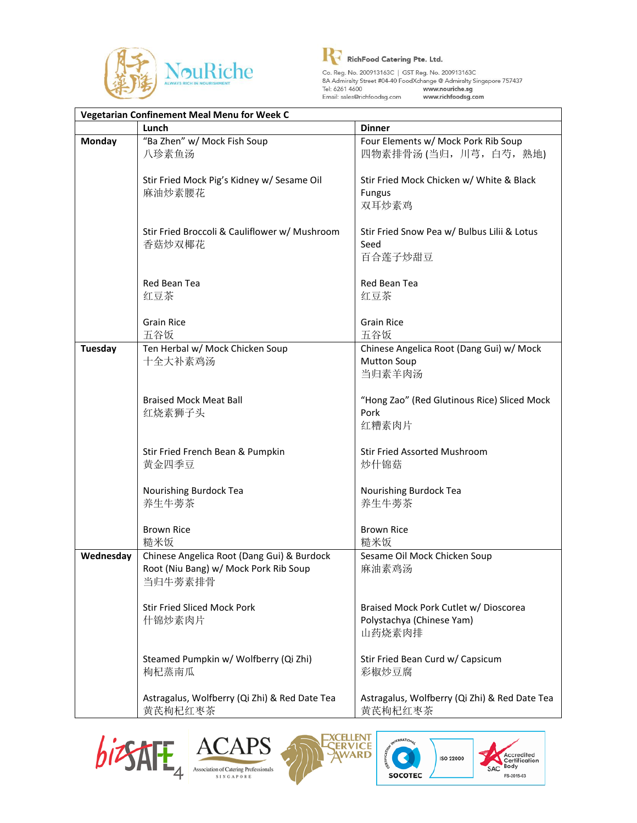



Co. Reg. No. 200913163C | GST Reg. No. 200913163C<br>
8A Admiralty Street #04-40 FoodXchange @ Admiralty Singapore 757437<br>
Tel: 6261 4600 **www.nouriche.sg**<br>
Email: sales@richfoodsg.com **www.richfoodsg.com** 

| Vegetarian Confinement Meal Menu for Week C |                                                                                                |                                                                              |
|---------------------------------------------|------------------------------------------------------------------------------------------------|------------------------------------------------------------------------------|
|                                             | Lunch                                                                                          | <b>Dinner</b>                                                                |
| <b>Monday</b>                               | "Ba Zhen" w/ Mock Fish Soup<br>八珍素鱼汤                                                           | Four Elements w/ Mock Pork Rib Soup<br>四物素排骨汤 (当归, 川芎, 白芍, 熟地)               |
|                                             | Stir Fried Mock Pig's Kidney w/ Sesame Oil<br>麻油炒素腰花                                           | Stir Fried Mock Chicken w/ White & Black<br><b>Fungus</b><br>双耳炒素鸡           |
|                                             | Stir Fried Broccoli & Cauliflower w/ Mushroom<br>香菇炒双椰花                                        | Stir Fried Snow Pea w/ Bulbus Lilii & Lotus<br>Seed<br>百合莲子炒甜豆               |
|                                             | Red Bean Tea<br>红豆茶                                                                            | Red Bean Tea<br>红豆茶                                                          |
|                                             | <b>Grain Rice</b><br>五谷饭                                                                       | <b>Grain Rice</b><br>五谷饭                                                     |
| <b>Tuesday</b>                              | Ten Herbal w/ Mock Chicken Soup<br>十全大补素鸡汤                                                     | Chinese Angelica Root (Dang Gui) w/ Mock<br><b>Mutton Soup</b><br>当归素羊肉汤     |
|                                             | <b>Braised Mock Meat Ball</b><br>红烧素狮子头                                                        | "Hong Zao" (Red Glutinous Rice) Sliced Mock<br>Pork<br>红糟素肉片                 |
|                                             | Stir Fried French Bean & Pumpkin<br>黄金四季豆                                                      | <b>Stir Fried Assorted Mushroom</b><br>炒什锦菇                                  |
|                                             | Nourishing Burdock Tea<br>养生牛蒡茶                                                                | Nourishing Burdock Tea<br>养生牛蒡茶                                              |
|                                             | <b>Brown Rice</b><br>糙米饭                                                                       | <b>Brown Rice</b><br>糙米饭                                                     |
| Wednesday                                   | Chinese Angelica Root (Dang Gui) & Burdock<br>Root (Niu Bang) w/ Mock Pork Rib Soup<br>当归牛蒡素排骨 | Sesame Oil Mock Chicken Soup<br>麻油素鸡汤                                        |
|                                             | <b>Stir Fried Sliced Mock Pork</b><br>什锦炒素肉片                                                   | Braised Mock Pork Cutlet w/ Dioscorea<br>Polystachya (Chinese Yam)<br>山药烧素肉排 |
|                                             | Steamed Pumpkin w/ Wolfberry (Qi Zhi)<br>枸杞蒸南瓜                                                 | Stir Fried Bean Curd w/ Capsicum<br>彩椒炒豆腐                                    |
|                                             | Astragalus, Wolfberry (Qi Zhi) & Red Date Tea<br>黄芪枸杞红枣茶                                       | Astragalus, Wolfberry (Qi Zhi) & Red Date Tea<br>黄芪枸杞红枣茶                     |







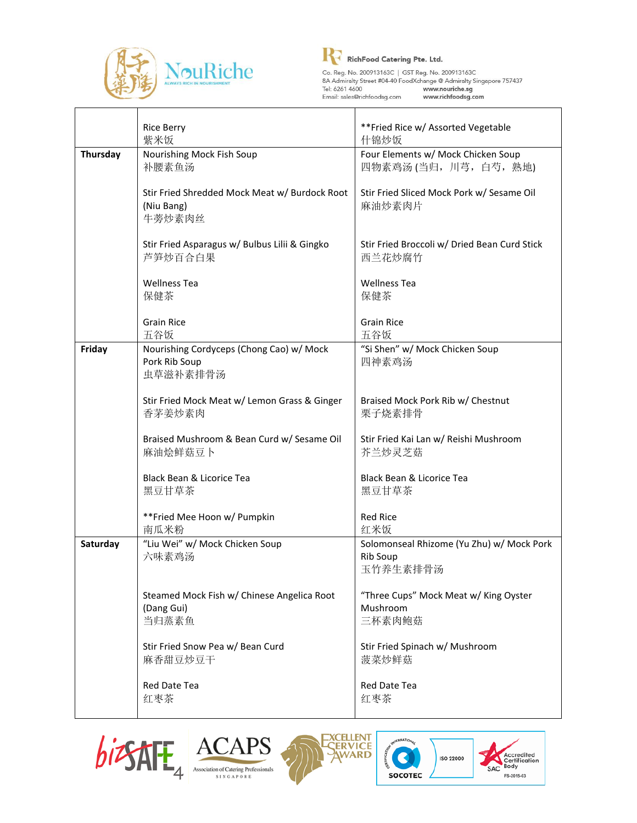



Co. Reg. No. 200913163C | GST Reg. No. 200913163C<br>
8A Admiralty Street #04-40 FoodXchange @ Admiralty Singapore 757437<br>
Tel: 6261 4600 www.nouriche.sg<br>
Email: sales@richfoodsg.com www.richfoodsg.com

|          | <b>Rice Berry</b><br>紫米饭                      | **Fried Rice w/ Assorted Vegetable<br>什锦炒饭   |
|----------|-----------------------------------------------|----------------------------------------------|
| Thursday | Nourishing Mock Fish Soup                     | Four Elements w/ Mock Chicken Soup           |
|          | 补腰素鱼汤                                         | 四物素鸡汤(当归, 川芎, 白芍, 熟地)                        |
|          |                                               |                                              |
|          | Stir Fried Shredded Mock Meat w/ Burdock Root | Stir Fried Sliced Mock Pork w/ Sesame Oil    |
|          | (Niu Bang)                                    | 麻油炒素肉片                                       |
|          | 牛蒡炒素肉丝                                        |                                              |
|          | Stir Fried Asparagus w/ Bulbus Lilii & Gingko | Stir Fried Broccoli w/ Dried Bean Curd Stick |
|          | 芦笋炒百合白果                                       | 西兰花炒腐竹                                       |
|          |                                               |                                              |
|          | <b>Wellness Tea</b>                           | <b>Wellness Tea</b>                          |
|          | 保健茶                                           | 保健茶                                          |
|          | <b>Grain Rice</b>                             | <b>Grain Rice</b>                            |
|          | 五谷饭                                           | 五谷饭                                          |
| Friday   | Nourishing Cordyceps (Chong Cao) w/ Mock      | "Si Shen" w/ Mock Chicken Soup               |
|          | Pork Rib Soup                                 | 四神素鸡汤                                        |
|          | 虫草滋补素排骨汤                                      |                                              |
|          |                                               |                                              |
|          | Stir Fried Mock Meat w/ Lemon Grass & Ginger  | Braised Mock Pork Rib w/ Chestnut            |
|          | 香茅姜炒素肉                                        | 栗子烧素排骨                                       |
|          | Braised Mushroom & Bean Curd w/ Sesame Oil    | Stir Fried Kai Lan w/ Reishi Mushroom        |
|          | 麻油烩鲜菇豆卜                                       | 芥兰炒灵芝菇                                       |
|          |                                               |                                              |
|          | Black Bean & Licorice Tea                     | Black Bean & Licorice Tea                    |
|          | 黑豆甘草茶                                         | 黑豆甘草茶                                        |
|          |                                               |                                              |
|          | **Fried Mee Hoon w/ Pumpkin<br>南瓜米粉           | <b>Red Rice</b><br>红米饭                       |
| Saturday | "Liu Wei" w/ Mock Chicken Soup                | Solomonseal Rhizome (Yu Zhu) w/ Mock Pork    |
|          | 六味素鸡汤                                         | Rib Soup                                     |
|          |                                               | 玉竹养生素排骨汤                                     |
|          |                                               |                                              |
|          | Steamed Mock Fish w/ Chinese Angelica Root    | "Three Cups" Mock Meat w/ King Oyster        |
|          | (Dang Gui)                                    | Mushroom                                     |
|          | 当归蒸素鱼                                         | 三杯素肉鲍菇                                       |
|          | Stir Fried Snow Pea w/ Bean Curd              | Stir Fried Spinach w/ Mushroom               |
|          | 麻香甜豆炒豆干                                       | 菠菜炒鲜菇                                        |
|          |                                               |                                              |
|          | Red Date Tea                                  | Red Date Tea                                 |
|          | 红枣茶                                           | 红枣茶                                          |
|          |                                               |                                              |







CERTIFICA-



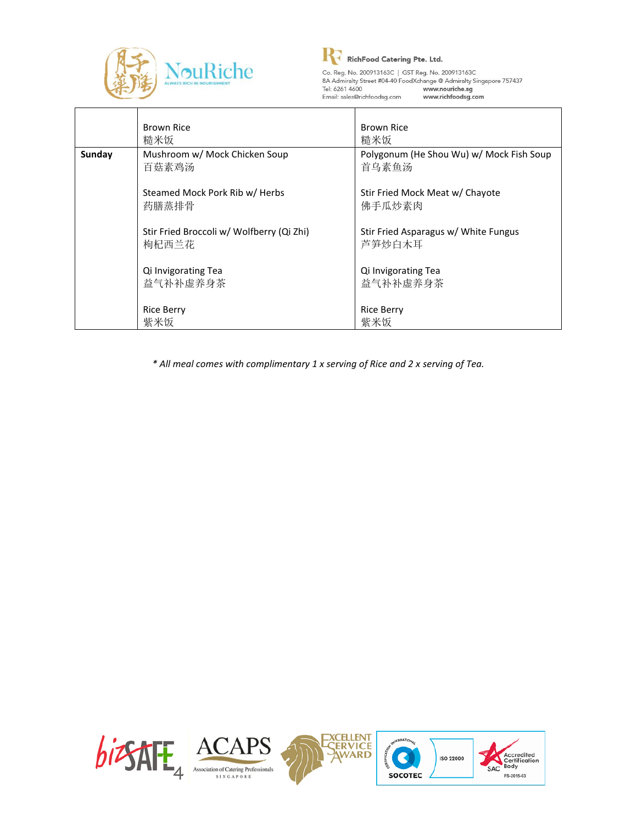



Co. Reg. No. 200913163C | GTT Reg. No. 200913163C<br>
8A Admiralty Street #04-40 FoodXchange @ Admiralty Singapore 757437<br>
Tel: 6261 4600 www.nouriche.sg<br>
Email: sales@richfoodsg.com www.richfoodsg.com

|        | <b>Brown Rice</b><br>糙米饭                           | <b>Brown Rice</b><br>糙米饭                          |
|--------|----------------------------------------------------|---------------------------------------------------|
| Sunday | Mushroom w/ Mock Chicken Soup<br>百菇素鸡汤             | Polygonum (He Shou Wu) w/ Mock Fish Soup<br>首乌素鱼汤 |
|        | Steamed Mock Pork Rib w/ Herbs<br>药膳蒸排骨            | Stir Fried Mock Meat w/ Chayote<br>佛手瓜炒素肉         |
|        | Stir Fried Broccoli w/ Wolfberry (Qi Zhi)<br>枸杞西兰花 | Stir Fried Asparagus w/ White Fungus<br>芦笋炒白木耳    |
|        | Qi Invigorating Tea<br>益气补补虚养身茶                    | Qi Invigorating Tea<br>益气补补虚养身茶                   |
|        | <b>Rice Berry</b><br>紫米饭                           | <b>Rice Berry</b><br>紫米饭                          |

*\* All meal comes with complimentary 1 x serving of Rice and 2 x serving of Tea.*

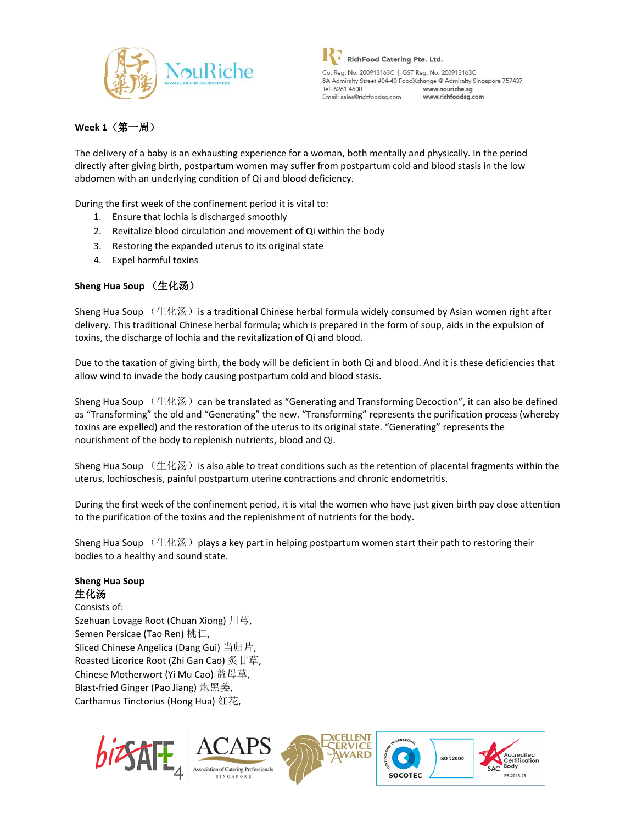



### **Week 1**(第一周)

The delivery of a baby is an exhausting experience for a woman, both mentally and physically. In the period directly after giving birth, postpartum women may suffer from postpartum cold and blood stasis in the low abdomen with an underlying condition of Qi and blood deficiency.

During the first week of the confinement period it is vital to:

- 1. Ensure that lochia is discharged smoothly
- 2. Revitalize blood circulation and movement of Qi within the body
- 3. Restoring the expanded uterus to its original state
- 4. Expel harmful toxins

### **Sheng Hua Soup** (生化汤)

Sheng Hua Soup  $($ 生化汤) is a traditional Chinese herbal formula widely consumed by Asian women right after delivery. This traditional Chinese herbal formula; which is prepared in the form of soup, aids in the expulsion of toxins, the discharge of lochia and the revitalization of Qi and blood.

Due to the taxation of giving birth, the body will be deficient in both Qi and blood. And it is these deficiencies that allow wind to invade the body causing postpartum cold and blood stasis.

Sheng Hua Soup  $(\pm \& \%)$  can be translated as "Generating and Transforming Decoction", it can also be defined as "Transforming" the old and "Generating" the new. "Transforming" represents the purification process (whereby toxins are expelled) and the restoration of the uterus to its original state. "Generating" represents the nourishment of the body to replenish nutrients, blood and Qi.

Sheng Hua Soup  $($ 生化汤) is also able to treat conditions such as the retention of placental fragments within the uterus, lochioschesis, painful postpartum uterine contractions and chronic endometritis.

During the first week of the confinement period, it is vital the women who have just given birth pay close attention to the purification of the toxins and the replenishment of nutrients for the body.

Sheng Hua Soup  $($ 生化汤) plays a key part in helping postpartum women start their path to restoring their bodies to a healthy and sound state.

#### **Sheng Hua Soup** 生化汤

Consists of: Szehuan Lovage Root (Chuan Xiong) 川芎, Semen Persicae (Tao Ren) 桃仁, Sliced Chinese Angelica (Dang Gui) 当归片, Roasted Licorice Root (Zhi Gan Cao) 炙甘草, Chinese Motherwort (Yi Mu Cao) 益母草, Blast-fried Ginger (Pao Jiang) 炮黑姜, Carthamus Tinctorius (Hong Hua) 红花,